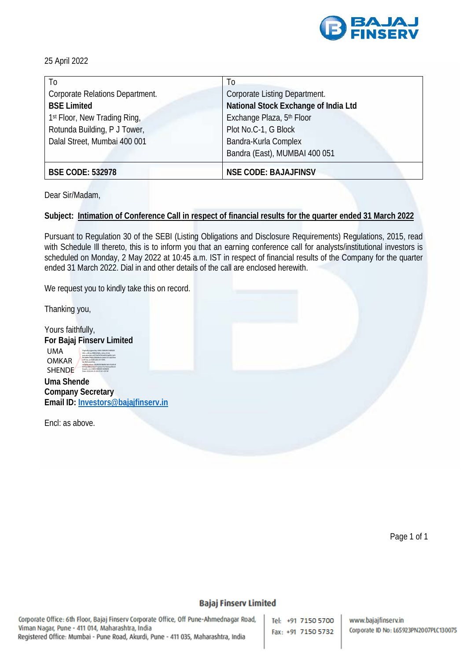

25 April 2022

| T <sub>0</sub>                  | T <sub>0</sub>                       |
|---------------------------------|--------------------------------------|
| Corporate Relations Department. | Corporate Listing Department.        |
| <b>BSE Limited</b>              | National Stock Exchange of India Ltd |
| 1st Floor, New Trading Ring,    | Exchange Plaza, 5th Floor            |
| Rotunda Building, P J Tower,    | Plot No.C-1, G Block                 |
| Dalal Street, Mumbai 400 001    | Bandra-Kurla Complex                 |
|                                 | Bandra (East), MUMBAI 400 051        |
| <b>BSE CODE: 532978</b>         | <b>NSE CODE: BAJAJFINSV</b>          |

Dear Sir/Madam,

## **Subject: Intimation of Conference Call in respect of financial results for the quarter ended 31 March 2022**

Pursuant to Regulation 30 of the SEBI (Listing Obligations and Disclosure Requirements) Regulations, 2015, read with Schedule III thereto, this is to inform you that an earning conference call for analysts/institutional investors is scheduled on Monday, 2 May 2022 at 10:45 a.m. IST in respect of financial results of the Company for the quarter ended 31 March 2022. Dial in and other details of the call are enclosed herewith.

We request you to kindly take this on record.

Thanking you,

Yours faithfully, **For Bajaj Finserv Limited**

UMA OMKAR SHENDE<sup></sup> Digitally signed by UMA OMKAR SHENDE DN: c=IN, o=PERSONAL, title=0163, pseudonym=e275ef597b9ef050a83b1a55 860b88639abc40dd6e3e2ebb107cb209ee ed57aa, postalCode=411009, st=Maharashtra, serialNumber=36d920508d8616fe762816f b91ba0bfe079a571ac0ce73c7622aa00e24 0caa3c, cn=UMA OMKAR SHENDE Date: 2022.04.25 20:27:02 +05'30'

**Uma Shende Company Secretary Email ID[: Investors@bajajfinserv.in](mailto:Investors@bajajfinserv.in)**

Encl: as above.

Page 1 of 1

#### **Bajaj Finserv Limited**

Corporate Office: 6th Floor, Bajaj Finserv Corporate Office, Off Pune-Ahmednagar Road, Viman Nagar, Pune - 411 014, Maharashtra, India Registered Office: Mumbai - Pune Road, Akurdi, Pune - 411 035, Maharashtra, India

Tel: +91 7150 5700 Fax: +91 7150 5732

www.bajajfinserv.in Corporate ID No: L65923PN2007PLC130075